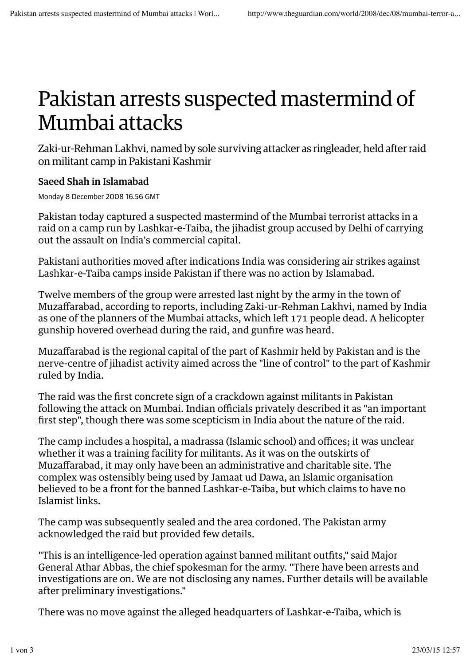## Pakistan arrests suspected mastermind of Mumbai attacks

Zaki-ur-Rehman Lakhvi, named by sole surviving attacker as ringleader, held after raid on militant camp in Pakistani Kashmir

## Saeed Shah in Islamabad

Monday 8 December 2008 16.56 GMT

Pakistan today captured a suspected mastermind of the Mumbai terrorist attacks in a raid on a camp run by Lashkar-e-Taiba, the jihadist group accused by Delhi of carrying out the assault on India's commercial capital.

Pakistani authorities moved after indications India was considering air strikes against Lashkar-e-Taiba camps inside Pakistan if there was no action by Islamabad.

Twelve members of the group were arrested last night by the army in the town of Muzaffarabad, according to reports, including Zaki-ur-Rehman Lakhvi, named by India as one of the planners of the Mumbai attacks, which left 171 people dead. A helicopter gunship hovered overhead during the raid, and gunfire was heard.

Muzaffarabad is the regional capital of the part of Kashmir held by Pakistan and is the nerve-centre of jihadist activity aimed across the "line of control" to the part of Kashmir ruled by India.

The raid was the first concrete sign of a crackdown against militants in Pakistan following the attack on Mumbai. Indian officials privately described it as "an important first step", though there was some scepticism in India about the nature of the raid.

The camp includes a hospital, a madrassa (Islamic school) and offices; it was unclear whether it was a training facility for militants. As it was on the outskirts of Muzaffarabad, it may only have been an administrative and charitable site. The complex was ostensibly being used by Jamaat ud Dawa, an Islamic organisation believed to be a front for the banned Lashkar-e-Taiba, but which claims to have no Islamist links.

The camp was subsequently sealed and the area cordoned. The Pakistan army acknowledged the raid but provided few details.

"This is an intelligence-led operation against banned militant outfits," said Major General Athar Abbas, the chief spokesman for the army. "There have been arrests and investigations are on. We are not disclosing any names. Further details will be available after preliminary investigations."

There was no move against the alleged headquarters of Lashkar-e-Taiba, which is